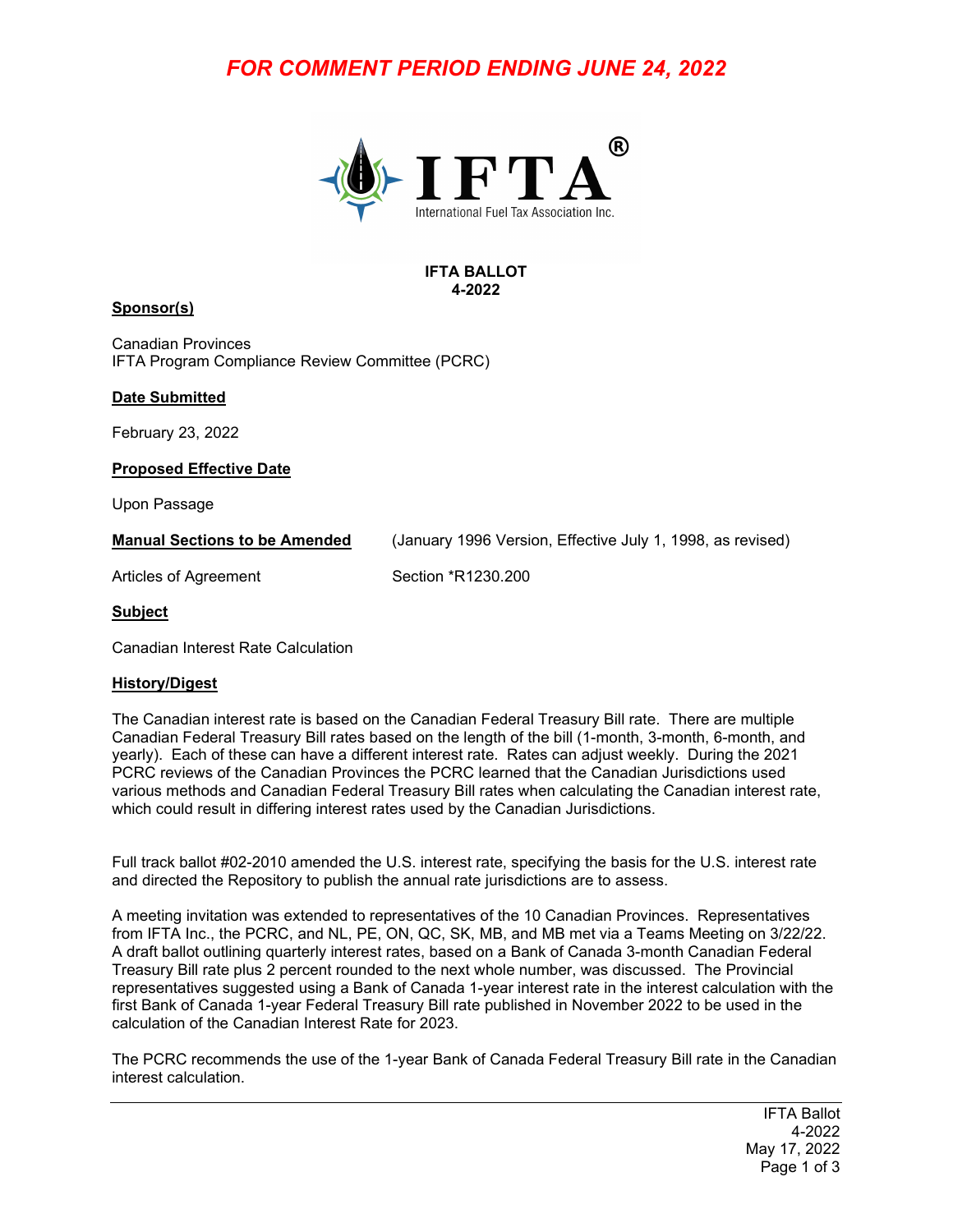# *FOR COMMENT PERIOD ENDING JUNE 24, 2022*



#### **IFTA BALLOT 4-2022**

### **Sponsor(s)**

Canadian Provinces IFTA Program Compliance Review Committee (PCRC)

### **Date Submitted**

February 23, 2022

**Proposed Effective Date**

Upon Passage

**Manual Sections to be Amended** (January 1996 Version, Effective July 1, 1998, as revised)

Articles of Agreement Section \*R1230.200

#### **Subject**

Canadian Interest Rate Calculation

### **History/Digest**

The Canadian interest rate is based on the Canadian Federal Treasury Bill rate. There are multiple Canadian Federal Treasury Bill rates based on the length of the bill (1-month, 3-month, 6-month, and yearly). Each of these can have a different interest rate. Rates can adjust weekly. During the 2021 PCRC reviews of the Canadian Provinces the PCRC learned that the Canadian Jurisdictions used various methods and Canadian Federal Treasury Bill rates when calculating the Canadian interest rate, which could result in differing interest rates used by the Canadian Jurisdictions.

Full track ballot #02-2010 amended the U.S. interest rate, specifying the basis for the U.S. interest rate and directed the Repository to publish the annual rate jurisdictions are to assess.

A meeting invitation was extended to representatives of the 10 Canadian Provinces. Representatives from IFTA Inc., the PCRC, and NL, PE, ON, QC, SK, MB, and MB met via a Teams Meeting on 3/22/22. A draft ballot outlining quarterly interest rates, based on a Bank of Canada 3-month Canadian Federal Treasury Bill rate plus 2 percent rounded to the next whole number, was discussed. The Provincial representatives suggested using a Bank of Canada 1-year interest rate in the interest calculation with the first Bank of Canada 1-year Federal Treasury Bill rate published in November 2022 to be used in the calculation of the Canadian Interest Rate for 2023.

The PCRC recommends the use of the 1-year Bank of Canada Federal Treasury Bill rate in the Canadian interest calculation.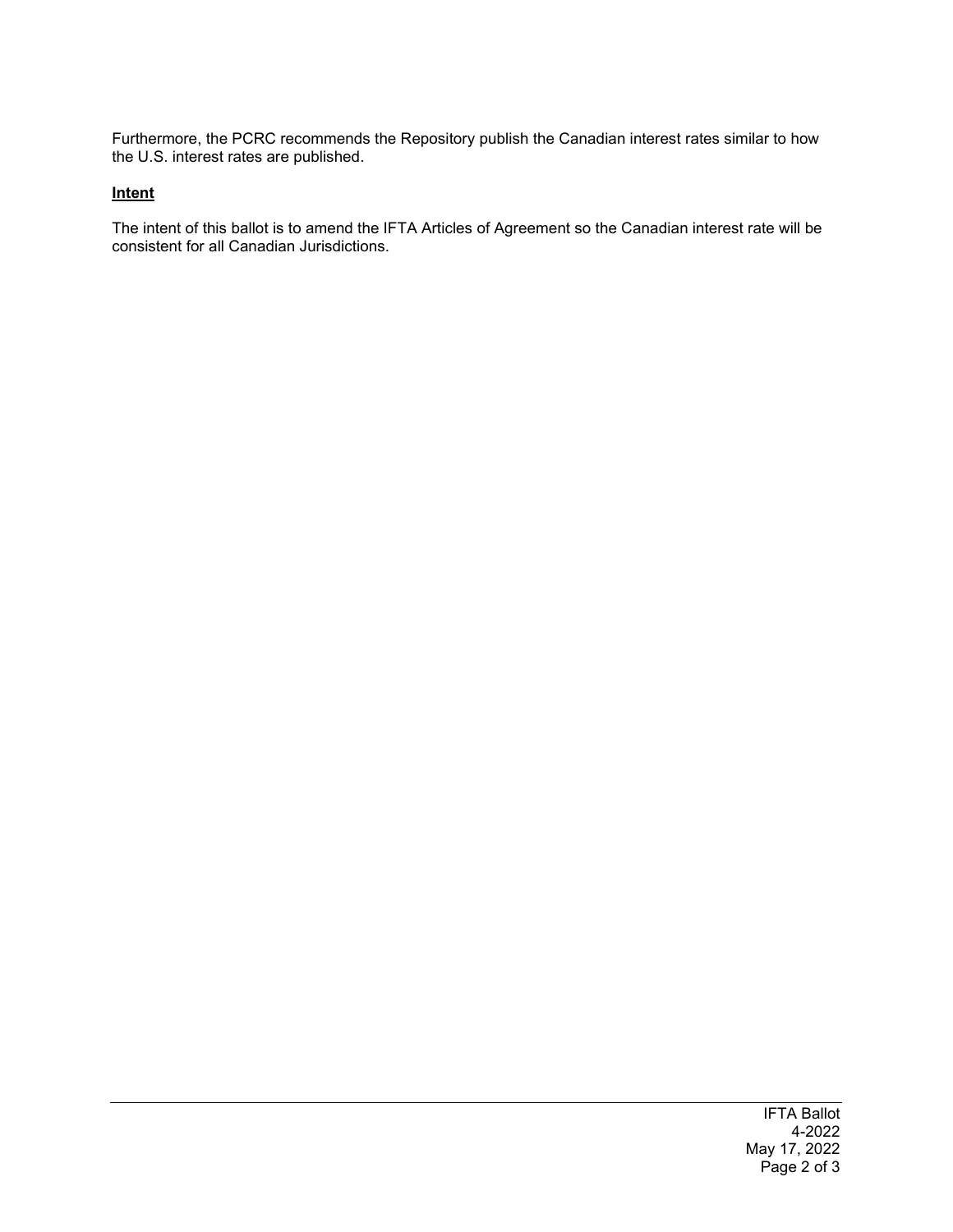Furthermore, the PCRC recommends the Repository publish the Canadian interest rates similar to how the U.S. interest rates are published.

### **Intent**

The intent of this ballot is to amend the IFTA Articles of Agreement so the Canadian interest rate will be consistent for all Canadian Jurisdictions.